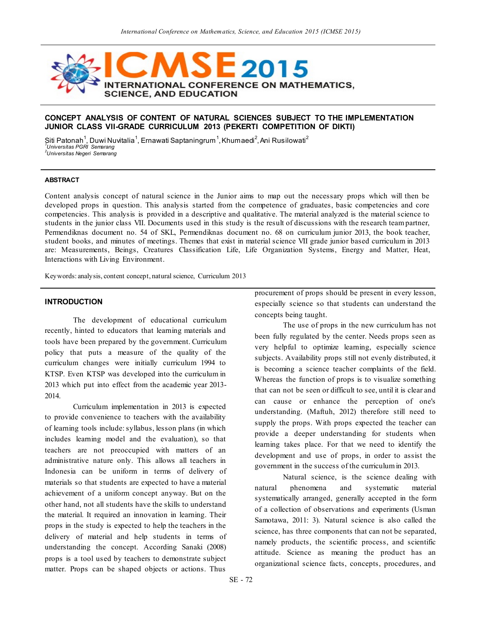

## **CONCEPT ANALYSIS OF CONTENT OF NATURAL SCIENCES SUBJECT TO THE IMPLEMENTATION JUNIOR CLASS VII-GRADE CURRICULUM 2013 (PEKERTI COMPETITION OF DIKTI)**

Siti Patonah<sup>1</sup>, Duwi Nuvitalia<sup>1</sup>, Ernawati Saptaningrum<sup>1</sup>, Khumaedi<sup>2</sup>, Ani Rusilowati<sup>2</sup> *1 Universitas PGRI Semarang 2 Universitas Negeri Semarang*

#### **ABSTRACT**

Content analysis concept of natural science in the Junior aims to map out the necessary props which will then be developed props in question. This analysis started from the competence of graduates, basic competencies and core competencies. This analysis is provided in a descriptive and qualitative. The material analyzed is the material science to students in the junior class VII. Documents used in this study is the result of discussions with the research team partner, Permendiknas document no. 54 of SKL, Permendiknas document no. 68 on curriculum junior 2013, the book teacher, student books, and minutes of meetings. Themes that exist in material science VII grade junior based curriculum in 2013 are: Measurements, Beings, Creatures Classification Life, Life Organization Systems, Energy and Matter, Heat, Interactions with Living Environment.

Keywords: analysis, content concept, natural science, Curriculum 2013

# **INTRODUCTION**

The development of educational curriculum recently, hinted to educators that learning materials and tools have been prepared by the government. Curriculum policy that puts a measure of the quality of the curriculum changes were initially curriculum 1994 to KTSP. Even KTSP was developed into the curriculum in 2013 which put into effect from the academic year 2013- 2014.

Curriculum implementation in 2013 is expected to provide convenience to teachers with the availability of learning tools include: syllabus, lesson plans (in which includes learning model and the evaluation), so that teachers are not preoccupied with matters of an administrative nature only. This allows all teachers in Indonesia can be uniform in terms of delivery of materials so that students are expected to have a material achievement of a uniform concept anyway. But on the other hand, not all students have the skills to understand the material. It required an innovation in learning. Their props in the study is expected to help the teachers in the delivery of material and help students in terms of understanding the concept. According Sanaki (2008) props is a tool used by teachers to demonstrate subject matter. Props can be shaped objects or actions. Thus

procurement of props should be present in every lesson, especially science so that students can understand the concepts being taught.

The use of props in the new curriculum has not been fully regulated by the center. Needs props seen as very helpful to optimize learning, especially science subjects. Availability props still not evenly distributed, it is becoming a science teacher complaints of the field. Whereas the function of props is to visualize something that can not be seen or difficult to see, until it is clear and can cause or enhance the perception of one's understanding. (Maftuh, 2012) therefore still need to supply the props. With props expected the teacher can provide a deeper understanding for students when learning takes place. For that we need to identify the development and use of props, in order to assist the government in the success of the curriculum in 2013.

Natural science, is the science dealing with natural phenomena and systematic material systematically arranged, generally accepted in the form of a collection of observations and experiments (Usman Samotawa, 2011: 3). Natural science is also called the science, has three components that can not be separated, namely products, the scientific process, and scientific attitude. Science as meaning the product has an organizational science facts, concepts, procedures, and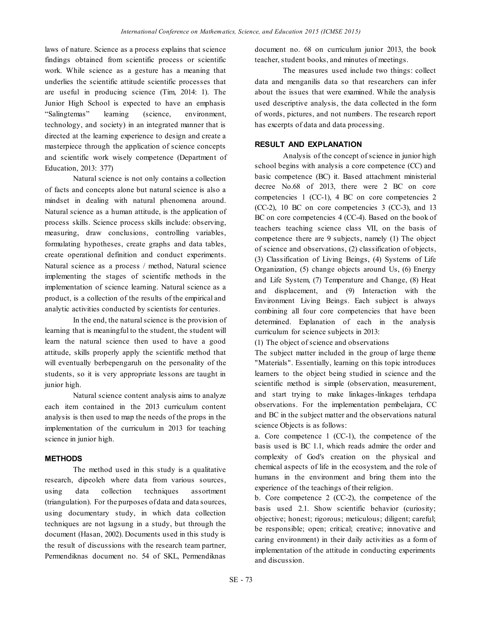laws of nature. Science as a process explains that science findings obtained from scientific process or scientific work. While science as a gesture has a meaning that underlies the scientific attitude scientific processes that are useful in producing science (Tim, 2014: 1). The Junior High School is expected to have an emphasis "Salingtemas" learning (science, environment, technology, and society) in an integrated manner that is directed at the learning experience to design and create a masterpiece through the application of science concepts and scientific work wisely competence (Department of Education, 2013: 377)

Natural science is not only contains a collection of facts and concepts alone but natural science is also a mindset in dealing with natural phenomena around. Natural science as a human attitude, is the application of process skills. Science process skills include: observing, measuring, draw conclusions, controlling variables, formulating hypotheses, create graphs and data tables, create operational definition and conduct experiments. Natural science as a process / method, Natural science implementing the stages of scientific methods in the implementation of science learning. Natural science as a product, is a collection of the results of the empirical and analytic activities conducted by scientists for centuries.

In the end, the natural science is the provision of learning that is meaningful to the student, the student will learn the natural science then used to have a good attitude, skills properly apply the scientific method that will eventually berbepengaruh on the personality of the students, so it is very appropriate lessons are taught in junior high.

Natural science content analysis aims to analyze each item contained in the 2013 curriculum content analysis is then used to map the needs of the props in the implementation of the curriculum in 2013 for teaching science in junior high.

## **METHODS**

The method used in this study is a qualitative research, dipeoleh where data from various sources, using data collection techniques assortment (triangulation). For the purposes of data and data sources, using documentary study, in which data collection techniques are not lagsung in a study, but through the document (Hasan, 2002). Documents used in this study is the result of discussions with the research team partner, Permendiknas document no. 54 of SKL, Permendiknas document no. 68 on curriculum junior 2013, the book teacher, student books, and minutes of meetings.

The measures used include two things: collect data and menganilis data so that researchers can infer about the issues that were examined. While the analysis used descriptive analysis, the data collected in the form of words, pictures, and not numbers. The research report has excerpts of data and data processing.

## **RESULT AND EXPLANATION**

Analysis of the concept of science in junior high school begins with analysis a core competence (CC) and basic competence (BC) it. Based attachment ministerial decree No.68 of 2013, there were 2 BC on core competencies 1 (CC-1), 4 BC on core competencies 2 (CC-2), 10 BC on core competencies 3 (CC-3), and 13 BC on core competencies 4 (CC-4). Based on the book of teachers teaching science class VII, on the basis of competence there are 9 subjects, namely (1) The object of science and observations, (2) classification of objects, (3) Classification of Living Beings, (4) Systems of Life Organization, (5) change objects around Us, (6) Energy and Life System, (7) Temperature and Change, (8) Heat and displacement, and (9) Interaction with the Environment Living Beings. Each subject is always combining all four core competencies that have been determined. Explanation of each in the analysis curriculum for science subjects in 2013:

(1) The object of science and observations

The subject matter included in the group of large theme "Materials". Essentially, learning on this topic introduces learners to the object being studied in science and the scientific method is simple (observation, measurement, and start trying to make linkages-linkages terhdapa observations. For the implementation pembelajara, CC and BC in the subject matter and the observations natural science Objects is as follows:

a. Core competence 1 (CC-1), the competence of the basis used is BC 1.1, which reads admire the order and complexity of God's creation on the physical and chemical aspects of life in the ecosystem, and the role of humans in the environment and bring them into the experience of the teachings of their religion.

b. Core competence 2 (CC-2), the competence of the basis used 2.1. Show scientific behavior (curiosity; objective; honest; rigorous; meticulous; diligent; careful; be responsible; open; critical; creative; innovative and caring environment) in their daily activities as a form of implementation of the attitude in conducting experiments and discussion.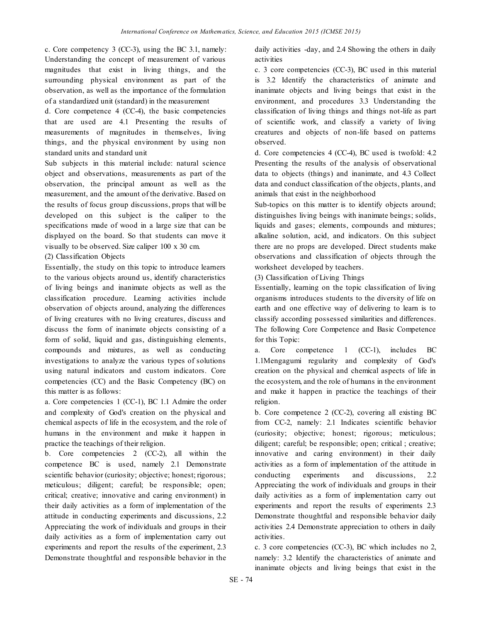c. Core competency 3 (CC-3), using the BC 3.1, namely: Understanding the concept of measurement of various magnitudes that exist in living things, and the surrounding physical environment as part of the observation, as well as the importance of the formulation of a standardized unit (standard) in the measurement

d. Core competence 4 (CC-4), the basic competencies that are used are 4.1 Presenting the results of measurements of magnitudes in themselves, living things, and the physical environment by using non standard units and standard unit

Sub subjects in this material include: natural science object and observations, measurements as part of the observation, the principal amount as well as the measurement, and the amount of the derivative. Based on the results of focus group discussions, props that will be developed on this subject is the caliper to the specifications made of wood in a large size that can be displayed on the board. So that students can move it visually to be observed. Size caliper 100 x 30 cm.

(2) Classification Objects

Essentially, the study on this topic to introduce learners to the various objects around us, identify characteristics of living beings and inanimate objects as well as the classification procedure. Learning activities include observation of objects around, analyzing the differences of living creatures with no living creatures, discuss and discuss the form of inanimate objects consisting of a form of solid, liquid and gas, distinguishing elements, compounds and mixtures, as well as conducting investigations to analyze the various types of solutions using natural indicators and custom indicators. Core competencies (CC) and the Basic Competency (BC) on this matter is as follows:

a. Core competencies 1 (CC-1), BC 1.1 Admire the order and complexity of God's creation on the physical and chemical aspects of life in the ecosystem, and the role of humans in the environment and make it happen in practice the teachings of their religion.

b. Core competencies 2 (CC-2), all within the competence BC is used, namely 2.1 Demonstrate scientific behavior (curiosity; objective; honest; rigorous; meticulous; diligent; careful; be responsible; open; critical; creative; innovative and caring environment) in their daily activities as a form of implementation of the attitude in conducting experiments and discussions, 2.2 Appreciating the work of individuals and groups in their daily activities as a form of implementation carry out experiments and report the results of the experiment, 2.3 Demonstrate thoughtful and responsible behavior in the

daily activities -day, and 2.4 Showing the others in daily activities

c. 3 core competencies (CC-3), BC used in this material is 3.2 Identify the characteristics of animate and inanimate objects and living beings that exist in the environment, and procedures 3.3 Understanding the classification of living things and things not-life as part of scientific work, and classify a variety of living creatures and objects of non-life based on patterns observed.

d. Core competencies 4 (CC-4), BC used is twofold: 4.2 Presenting the results of the analysis of observational data to objects (things) and inanimate, and 4.3 Collect data and conduct classification of the objects, plants, and animals that exist in the neighborhood

Sub-topics on this matter is to identify objects around; distinguishes living beings with inanimate beings; solids, liquids and gases; elements, compounds and mixtures; alkaline solution, acid, and indicators. On this subject there are no props are developed. Direct students make observations and classification of objects through the worksheet developed by teachers.

(3) Classification of Living Things

Essentially, learning on the topic classification of living organisms introduces students to the diversity of life on earth and one effective way of delivering to learn is to classify according possessed similarities and differences. The following Core Competence and Basic Competence for this Topic:

a. Core competence 1 (CC-1), includes BC 1.1Mengagumi regularity and complexity of God's creation on the physical and chemical aspects of life in the ecosystem, and the role of humans in the environment and make it happen in practice the teachings of their religion.

b. Core competence 2 (CC-2), covering all existing BC from CC-2, namely: 2.1 Indicates scientific behavior (curiosity; objective; honest; rigorous; meticulous; diligent; careful; be responsible; open; critical ; creative; innovative and caring environment) in their daily activities as a form of implementation of the attitude in conducting experiments and discussions, 2.2 Appreciating the work of individuals and groups in their daily activities as a form of implementation carry out experiments and report the results of experiments 2.3 Demonstrate thoughtful and responsible behavior daily activities 2.4 Demonstrate appreciation to others in daily activities.

c. 3 core competencies (CC-3), BC which includes no 2, namely: 3.2 Identify the characteristics of animate and inanimate objects and living beings that exist in the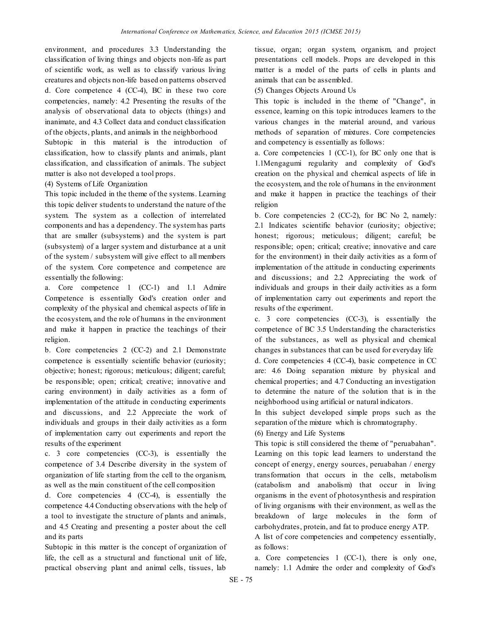environment, and procedures 3.3 Understanding the classification of living things and objects non-life as part of scientific work, as well as to classify various living creatures and objects non-life based on patterns observed d. Core competence 4 (CC-4), BC in these two core competencies, namely: 4.2 Presenting the results of the analysis of observational data to objects (things) and inanimate, and 4.3 Collect data and conduct classification of the objects, plants, and animals in the neighborhood Subtopic in this material is the introduction of classification, how to classify plants and animals, plant classification, and classification of animals. The subject matter is also not developed a tool props.

## (4) Systems of Life Organization

This topic included in the theme of the systems. Learning this topic deliver students to understand the nature of the system. The system as a collection of interrelated components and has a dependency. The system has parts that are smaller (subsystems) and the system is part (subsystem) of a larger system and disturbance at a unit of the system / subsystem will give effect to all members of the system. Core competence and competence are essentially the following:

a. Core competence 1 (CC-1) and 1.1 Admire Competence is essentially God's creation order and complexity of the physical and chemical aspects of life in the ecosystem, and the role of humans in the environment and make it happen in practice the teachings of their religion.

b. Core competencies 2 (CC-2) and 2.1 Demonstrate competence is essentially scientific behavior (curiosity; objective; honest; rigorous; meticulous; diligent; careful; be responsible; open; critical; creative; innovative and caring environment) in daily activities as a form of implementation of the attitude in conducting experiments and discussions, and 2.2 Appreciate the work of individuals and groups in their daily activities as a form of implementation carry out experiments and report the results of the experiment

c. 3 core competencies (CC-3), is essentially the competence of 3.4 Describe diversity in the system of organization of life starting from the cell to the organism, as well as the main constituent of the cell composition

d. Core competencies 4 (CC-4), is essentially the competence 4.4 Conducting observations with the help of a tool to investigate the structure of plants and animals, and 4.5 Creating and presenting a poster about the cell and its parts

Subtopic in this matter is the concept of organization of life, the cell as a structural and functional unit of life, practical observing plant and animal cells, tissues, lab

tissue, organ; organ system, organism, and project presentations cell models. Props are developed in this matter is a model of the parts of cells in plants and animals that can be assembled.

(5) Changes Objects Around Us

This topic is included in the theme of "Change", in essence, learning on this topic introduces learners to the various changes in the material around, and various methods of separation of mixtures. Core competencies and competency is essentially as follows:

a. Core competencies 1 (CC-1), for BC only one that is 1.1Mengagumi regularity and complexity of God's creation on the physical and chemical aspects of life in the ecosystem, and the role of humans in the environment and make it happen in practice the teachings of their religion

b. Core competencies 2 (CC-2), for BC No 2, namely: 2.1 Indicates scientific behavior (curiosity; objective; honest; rigorous; meticulous; diligent; careful; be responsible; open; critical; creative; innovative and care for the environment) in their daily activities as a form of implementation of the attitude in conducting experiments and discussions; and 2.2 Appreciating the work of individuals and groups in their daily activities as a form of implementation carry out experiments and report the results of the experiment.

c. 3 core competencies (CC-3), is essentially the competence of BC 3.5 Understanding the characteristics of the substances, as well as physical and chemical changes in substances that can be used for everyday life d. Core competencies 4 (CC-4), basic competence in CC are: 4.6 Doing separation mixture by physical and chemical properties; and 4.7 Conducting an investigation to determine the nature of the solution that is in the neighborhood using artificial or natural indicators.

In this subject developed simple props such as the separation of the mixture which is chromatography.

(6) Energy and Life Systems

This topic is still considered the theme of "peruabahan". Learning on this topic lead learners to understand the concept of energy, energy sources, peruabahan / energy transformation that occurs in the cells, metabolism (catabolism and anabolism) that occur in living organisms in the event of photosynthesis and respiration of living organisms with their environment, as well as the breakdown of large molecules in the form of carbohydrates, protein, and fat to produce energy ATP.

A list of core competencies and competency essentially, as follows:

a. Core competencies 1 (CC-1), there is only one, namely: 1.1 Admire the order and complexity of God's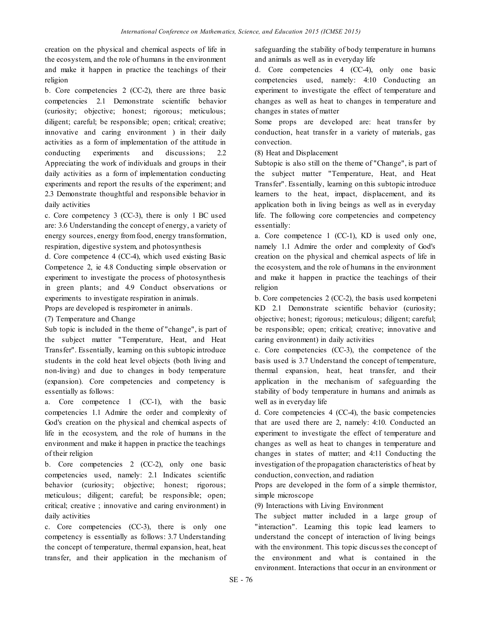creation on the physical and chemical aspects of life in the ecosystem, and the role of humans in the environment and make it happen in practice the teachings of their religion

b. Core competencies 2 (CC-2), there are three basic competencies 2.1 Demonstrate scientific behavior (curiosity; objective; honest; rigorous; meticulous; diligent; careful; be responsible; open; critical; creative; innovative and caring environment ) in their daily activities as a form of implementation of the attitude in conducting experiments and discussions; 2.2 Appreciating the work of individuals and groups in their daily activities as a form of implementation conducting experiments and report the results of the experiment; and 2.3 Demonstrate thoughtful and responsible behavior in daily activities

c. Core competency 3 (CC-3), there is only 1 BC used are: 3.6 Understanding the concept of energy, a variety of energy sources, energy from food, energy transformation, respiration, digestive system, and photosynthesis

d. Core competence 4 (CC-4), which used existing Basic Competence 2, ie 4.8 Conducting simple observation or experiment to investigate the process of photosynthesis in green plants; and 4.9 Conduct observations or experiments to investigate respiration in animals. Props are developed is respirometer in animals.

(7) Temperature and Change

Sub topic is included in the theme of "change", is part of the subject matter "Temperature, Heat, and Heat Transfer". Essentially, learning on this subtopic introduce students in the cold heat level objects (both living and non-living) and due to changes in body temperature (expansion). Core competencies and competency is essentially as follows:

a. Core competence 1 (CC-1), with the basic competencies 1.1 Admire the order and complexity of God's creation on the physical and chemical aspects of life in the ecosystem, and the role of humans in the environment and make it happen in practice the teachings of their religion

b. Core competencies 2 (CC-2), only one basic competencies used, namely: 2.1 Indicates scientific behavior (curiosity; objective; honest; rigorous; meticulous; diligent; careful; be responsible; open; critical; creative ; innovative and caring environment) in daily activities

c. Core competencies (CC-3), there is only one competency is essentially as follows: 3.7 Understanding the concept of temperature, thermal expansion, heat, heat transfer, and their application in the mechanism of

safeguarding the stability of body temperature in humans and animals as well as in everyday life

d. Core competencies 4 (CC-4), only one basic competencies used, namely: 4:10 Conducting an experiment to investigate the effect of temperature and changes as well as heat to changes in temperature and changes in states of matter

Some props are developed are: heat transfer by conduction, heat transfer in a variety of materials, gas convection.

(8) Heat and Displacement

Subtopic is also still on the theme of "Change", is part of the subject matter "Temperature, Heat, and Heat Transfer". Essentially, learning on this subtopic introduce learners to the heat, impact, displacement, and its application both in living beings as well as in everyday life. The following core competencies and competency essentially:

a. Core competence 1 (CC-1), KD is used only one, namely 1.1 Admire the order and complexity of God's creation on the physical and chemical aspects of life in the ecosystem, and the role of humans in the environment and make it happen in practice the teachings of their religion

b. Core competencies 2 (CC-2), the basis used kompeteni KD 2.1 Demonstrate scientific behavior (curiosity; objective; honest; rigorous; meticulous; diligent; careful; be responsible; open; critical; creative; innovative and caring environment) in daily activities

c. Core competencies (CC-3), the competence of the basis used is 3.7 Understand the concept of temperature, thermal expansion, heat, heat transfer, and their application in the mechanism of safeguarding the stability of body temperature in humans and animals as well as in everyday life

d. Core competencies 4 (CC-4), the basic competencies that are used there are 2, namely: 4:10. Conducted an experiment to investigate the effect of temperature and changes as well as heat to changes in temperature and changes in states of matter; and 4:11 Conducting the investigation of the propagation characteristics of heat by conduction, convection, and radiation

Props are developed in the form of a simple thermistor, simple microscope

(9) Interactions with Living Environment

The subject matter included in a large group of "interaction". Learning this topic lead learners to understand the concept of interaction of living beings with the environment. This topic discusses the concept of the environment and what is contained in the environment. Interactions that occur in an environment or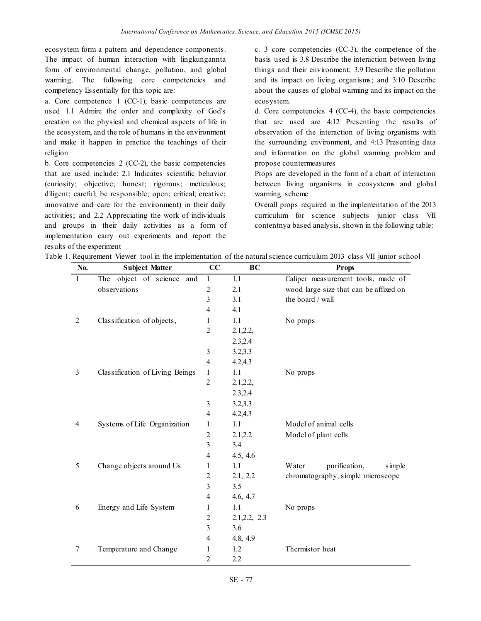ecosystem form a pattern and dependence components. The impact of human interaction with lingkungannta form of environmental change, pollution, and global warming. The following core competencies and competency Essentially for this topic are:

a. Core competence 1 (CC-1), basic competences are used 1.1 Admire the order and complexity of God's creation on the physical and chemical aspects of life in the ecosystem, and the role of humans in the environment and make it happen in practice the teachings of their religion

b. Core competencies 2 (CC-2), the basic competencies that are used include: 2.1 Indicates scientific behavior (curiosity; objective; honest; rigorous; meticulous; diligent; careful; be responsible; open; critical; creative; innovative and care for the environment) in their daily activities; and 2.2 Appreciating the work of individuals and groups in their daily activities as a form of implementation carry out experiments and report the results of the experiment

c. 3 core competencies (CC-3), the competence of the basis used is 3.8 Describe the interaction between living things and their environment; 3.9 Describe the pollution and its impact on living organisms; and 3:10 Describe about the causes of global warming and its impact on the ecosystem.

d. Core competencies 4 (CC-4), the basic competencies that are used are 4:12 Presenting the results of observation of the interaction of living organisms with the surrounding environment, and 4:13 Presenting data and information on the global warming problem and propose countermeasures

Props are developed in the form of a chart of interaction between living organisms in ecosystems and global warming scheme

Overall props required in the implementation of the 2013 curriculum for science subjects junior class VII contentnya based analysis, shown in the following table:

|  |  | Table 1. Requirement Viewer tool in the implementation of the natural science curriculum 2013 class VII junior school |  |  |  |  |  |
|--|--|-----------------------------------------------------------------------------------------------------------------------|--|--|--|--|--|
|  |  |                                                                                                                       |  |  |  |  |  |

| No. | <b>Subject Matter</b>           | CC                      | BC            | <b>Props</b>                           |  |  |
|-----|---------------------------------|-------------------------|---------------|----------------------------------------|--|--|
| 1   | object of science and<br>The    | 1                       | 1.1           | Caliper measurement tools, made of     |  |  |
|     | observations                    | $\overline{2}$          | 2.1           | wood large size that can be affixed on |  |  |
|     |                                 | 3                       | 3.1           | the board / wall                       |  |  |
|     |                                 | 4                       | 4.1           |                                        |  |  |
| 2   | Classification of objects,      | 1                       | 1.1           | No props                               |  |  |
|     |                                 | $\overline{2}$          | 2.1, 2.2,     |                                        |  |  |
|     |                                 |                         | 2.3,2.4       |                                        |  |  |
|     |                                 | 3                       | 3.2,3.3       |                                        |  |  |
|     |                                 | $\overline{4}$          | 4.2, 4.3      |                                        |  |  |
| 3   | Classification of Living Beings | 1                       | 1.1           | No props                               |  |  |
|     |                                 | $\overline{2}$          | 2.1, 2.2,     |                                        |  |  |
|     |                                 |                         | 2.3,2.4       |                                        |  |  |
|     |                                 | 3                       | 3.2, 3.3      |                                        |  |  |
|     |                                 | 4                       | 4.2, 4.3      |                                        |  |  |
| 4   | Systems of Life Organization    | 1                       | 1.1           | Model of animal cells                  |  |  |
|     |                                 | $\overline{\mathbf{c}}$ | 2.1,2.2       | Model of plant cells                   |  |  |
|     |                                 | $\overline{\mathbf{3}}$ | 3.4           |                                        |  |  |
|     |                                 | 4                       | 4.5, 4.6      |                                        |  |  |
| 5   | Change objects around Us        | 1                       | 1.1           | Water<br>purification,<br>simple       |  |  |
|     |                                 | 2                       | 2.1, 2.2      | chromatography, simple microscope      |  |  |
|     |                                 | 3                       | 3.5           |                                        |  |  |
|     |                                 | 4                       | 4.6, 4.7      |                                        |  |  |
| 6   | Energy and Life System          | 1                       | 1.1           | No props                               |  |  |
|     |                                 | $\overline{c}$          | 2.1, 2.2, 2.3 |                                        |  |  |
|     |                                 | 3                       | 3.6           |                                        |  |  |
|     |                                 | 4                       | 4.8, 4.9      |                                        |  |  |
| 7   | Temperature and Change          | 1                       | 1.2           | Thermistor heat                        |  |  |
|     |                                 | 2                       | 2.2           |                                        |  |  |